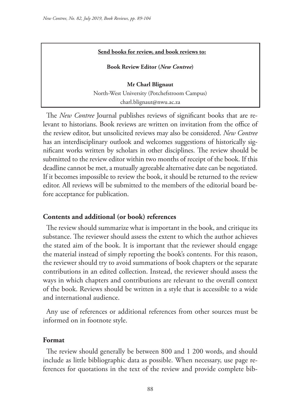#### **Send books for review, and book reviews to:**

**Book Review Editor (***New Contree***)** 

**Mr Charl Blignaut** North-West University (Potchefstroom Campus) charl.blignaut@nwu.ac.za

The *New Contree* Journal publishes reviews of significant books that are relevant to historians. Book reviews are written on invitation from the office of the review editor, but unsolicited reviews may also be considered. *New Contree*  has an interdisciplinary outlook and welcomes suggestions of historically significant works written by scholars in other disciplines. The review should be submitted to the review editor within two months of receipt of the book. If this deadline cannot be met, a mutually agreeable alternative date can be negotiated. If it becomes impossible to review the book, it should be returned to the review editor. All reviews will be submitted to the members of the editorial board before acceptance for publication.

## **Contents and additional (or book) references**

The review should summarize what is important in the book, and critique its substance. The reviewer should assess the extent to which the author achieves the stated aim of the book. It is important that the reviewer should engage the material instead of simply reporting the book's contents. For this reason, the reviewer should try to avoid summations of book chapters or the separate contributions in an edited collection. Instead, the reviewer should assess the ways in which chapters and contributions are relevant to the overall context of the book. Reviews should be written in a style that is accessible to a wide and international audience.

Any use of references or additional references from other sources must be informed on in footnote style.

#### **Format**

The review should generally be between 800 and 1 200 words, and should include as little bibliographic data as possible. When necessary, use page references for quotations in the text of the review and provide complete bib-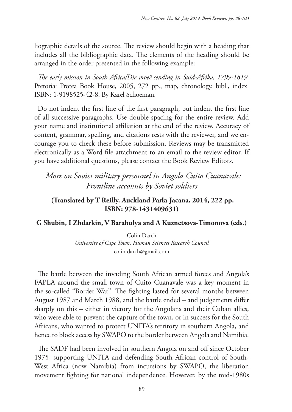liographic details of the source. The review should begin with a heading that includes all the bibliographic data. The elements of the heading should be arranged in the order presented in the following example:

*The early mission in South Africa/Die vroeë sending in Suid-Afrika, 1799-1819*. Pretoria: Protea Book House, 2005, 272 pp., map, chronology, bibl., index. ISBN: 1-9198525-42-8. By Karel Schoeman.

Do not indent the first line of the first paragraph, but indent the first line of all successive paragraphs. Use double spacing for the entire review. Add your name and institutional affiliation at the end of the review. Accuracy of content, grammar, spelling, and citations rests with the reviewer, and we encourage you to check these before submission. Reviews may be transmitted electronically as a Word file attachment to an email to the review editor. If you have additional questions, please contact the Book Review Editors.

*More on Soviet military personnel in Angola Cuito Cuanavale: Frontline accounts by Soviet soldiers*

# **(Translated by T Reilly. Auckland Park: Jacana, 2014, 222 pp. ISBN: 978-1431409631)**

## **G Shubin, I Zhdarkin, V Barabulya and A Kuznetsova-Timonova (eds.)**

Colin Darch *University of Cape Town, Human Sciences Research Council* colin.darch@gmail.com

The battle between the invading South African armed forces and Angola's FAPLA around the small town of Cuito Cuanavale was a key moment in the so-called "Border War". The fighting lasted for several months between August 1987 and March 1988, and the battle ended – and judgements differ sharply on this – either in victory for the Angolans and their Cuban allies, who were able to prevent the capture of the town, or in success for the South Africans, who wanted to protect UNITA's territory in southern Angola, and hence to block access by SWAPO to the border between Angola and Namibia.

The SADF had been involved in southern Angola on and off since October 1975, supporting UNITA and defending South African control of South-West Africa (now Namibia) from incursions by SWAPO, the liberation movement fighting for national independence. However, by the mid-1980s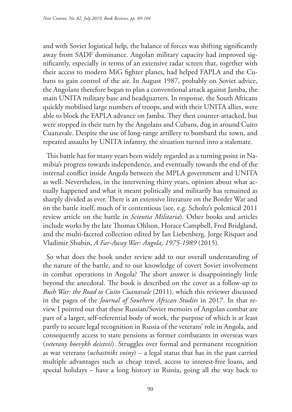and with Soviet logistical help, the balance of forces was shifting significantly away from SADF dominance. Angolan military capacity had improved significantly, especially in terms of an extensive radar screen that, together with their access to modern MiG fighter planes, had helped FAPLA and the Cubans to gain control of the air. In August 1987, probably on Soviet advice, the Angolans therefore began to plan a conventional attack against Jamba, the main UNITA military base and headquarters. In response, the South Africans quickly mobilised large numbers of troops, and with their UNITA allies, were able to block the FAPLA advance on Jamba. They then counter-attacked, but were stopped in their turn by the Angolans and Cubans, dug in around Cuito Cuanavale. Despite the use of long-range artillery to bombard the town, and repeated assaults by UNITA infantry, the situation turned into a stalemate.

This battle has for many years been widely regarded as a turning point in Namibia's progress towards independence, and eventually towards the end of the internal conflict inside Angola between the MPLA government and UNITA as well. Nevertheless, in the intervening thirty years, opinion about what actually happened and what it meant politically and militarily has remained as sharply divided as ever. There is an extensive literature on the Border War and on the battle itself, much of it contentious (see, e.g. Scholtz's polemical 2011 review article on the battle in *Scientia Militaria*). Other books and articles include works by the late Thomas Ohlson, Horace Campbell, Fred Bridgland, and the multi-faceted collection edited by Ian Liebenberg, Jorge Risquet and Vladimir Shubin, *A Far-Away War: Angola, 1975-1989* (2015).

So what does the book under review add to our overall understanding of the nature of the battle, and to our knowledge of covert Soviet involvement in combat operations in Angola? The short answer is disappointingly little beyond the anecdotal. The book is described on the cover as a follow-up to *Bush War: the Road to Cuito Cuanavale* (2011), which this reviewer discussed in the pages of the *Journal of Southern African Studies* in 2017. In that review I pointed out that these Russian/Soviet memoirs of Angolan combat are part of a larger, self-referential body of work, the purpose of which is at least partly to secure legal recognition in Russia of the veterans' role in Angola, and consequently access to state pensions as former combatants in overseas wars (*veterany boevykh deistvii*). Struggles over formal and permanent recognition as war veterans (*uchastniki voiny*) – a legal status that has in the past carried multiple advantages such as cheap travel, access to interest-free loans, and special holidays – have a long history in Russia, going all the way back to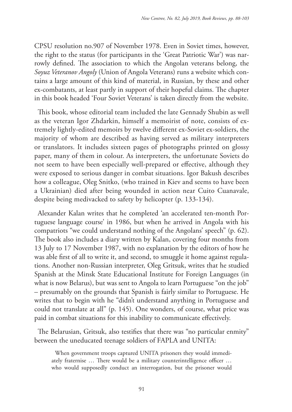CPSU resolution no.907 of November 1978. Even in Soviet times, however, the right to the status (for participants in the 'Great Patriotic War') was narrowly defined. The association to which the Angolan veterans belong, the *Soyuz Veteranov Angoly* (Union of Angola Veterans) runs a website which contains a large amount of this kind of material, in Russian, by these and other ex-combatants, at least partly in support of their hopeful claims. The chapter in this book headed 'Four Soviet Veterans' is taken directly from the website.

This book, whose editorial team included the late Gennady Shubin as well as the veteran Igor Zhdarkin, himself a memoirist of note, consists of extremely lightly-edited memoirs by twelve different ex-Soviet ex-soldiers, the majority of whom are described as having served as military interpreters or translators. It includes sixteen pages of photographs printed on glossy paper, many of them in colour. As interpreters, the unfortunate Soviets do not seem to have been especially well-prepared or effective, although they were exposed to serious danger in combat situations. Igor Bakush describes how a colleague, Oleg Snitko, (who trained in Kiev and seems to have been a Ukrainian) died after being wounded in action near Cuito Cuanavale, despite being medivacked to safety by helicopter (p. 133-134).

Alexander Kalan writes that he completed 'an accelerated ten-month Portuguese language course' in 1986, but when he arrived in Angola with his compatriots "we could understand nothing of the Angolans' speech" (p. 62). The book also includes a diary written by Kalan, covering four months from 13 July to 17 November 1987, with no explanation by the editors of how he was able first of all to write it, and second, to smuggle it home against regulations. Another non-Russian interpreter, Oleg Gritsuk, writes that he studied Spanish at the Minsk State Educational Institute for Foreign Languages (in what is now Belarus), but was sent to Angola to learn Portuguese "on the job" – presumably on the grounds that Spanish is fairly similar to Portuguese. He writes that to begin with he "didn't understand anything in Portuguese and could not translate at all" (p. 145). One wonders, of course, what price was paid in combat situations for this inability to communicate effectively.

The Belarusian, Gritsuk, also testifies that there was "no particular enmity" between the uneducated teenage soldiers of FAPLA and UNITA:

When government troops captured UNITA prisoners they would immediately fraternise … There would be a military counterintelligence officer … who would supposedly conduct an interrogation, but the prisoner would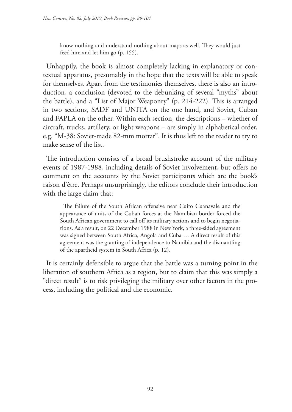know nothing and understand nothing about maps as well. They would just feed him and let him go (p. 155).

Unhappily, the book is almost completely lacking in explanatory or contextual apparatus, presumably in the hope that the texts will be able to speak for themselves. Apart from the testimonies themselves, there is also an introduction, a conclusion (devoted to the debunking of several "myths" about the battle), and a "List of Major Weaponry" (p. 214-222). This is arranged in two sections, SADF and UNITA on the one hand, and Soviet, Cuban and FAPLA on the other. Within each section, the descriptions – whether of aircraft, trucks, artillery, or light weapons – are simply in alphabetical order, e.g. "M-38: Soviet-made 82-mm mortar". It is thus left to the reader to try to make sense of the list.

The introduction consists of a broad brushstroke account of the military events of 1987-1988, including details of Soviet involvement, but offers no comment on the accounts by the Soviet participants which are the book's raison d'être. Perhaps unsurprisingly, the editors conclude their introduction with the large claim that:

The failure of the South African offensive near Cuito Cuanavale and the appearance of units of the Cuban forces at the Namibian border forced the South African government to call off its military actions and to begin negotiations. As a result, on 22 December 1988 in New York, a three-sided agreement was signed between South Africa, Angola and Cuba … A direct result of this agreement was the granting of independence to Namibia and the dismantling of the apartheid system in South Africa (p. 12).

It is certainly defensible to argue that the battle was a turning point in the liberation of southern Africa as a region, but to claim that this was simply a "direct result" is to risk privileging the military over other factors in the process, including the political and the economic.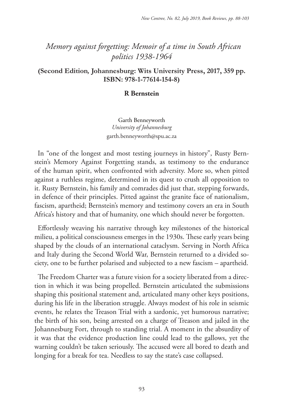# *Memory against forgetting: Memoir of a time in South African politics 1938-1964*

## **(Second Edition***,* **Johannesburg: Wits University Press, 2017, 359 pp. ISBN: 978-1-77614-154-8)**

#### **R Bernstein**

Garth Benneyworth *University of Johannesburg* garth.benneyworth@spu.ac.za

In "one of the longest and most testing journeys in history", Rusty Bernstein's Memory Against Forgetting stands, as testimony to the endurance of the human spirit, when confronted with adversity. More so, when pitted against a ruthless regime, determined in its quest to crush all opposition to it. Rusty Bernstein, his family and comrades did just that, stepping forwards, in defence of their principles. Pitted against the granite face of nationalism, fascism, apartheid; Bernstein's memory and testimony covers an era in South Africa's history and that of humanity, one which should never be forgotten.

Effortlessly weaving his narrative through key milestones of the historical milieu, a political consciousness emerges in the 1930s. These early years being shaped by the clouds of an international cataclysm. Serving in North Africa and Italy during the Second World War, Bernstein returned to a divided society, one to be further polarised and subjected to a new fascism – apartheid.

The Freedom Charter was a future vision for a society liberated from a direction in which it was being propelled. Bernstein articulated the submissions shaping this positional statement and, articulated many other keys positions, during his life in the liberation struggle. Always modest of his role in seismic events, he relates the Treason Trial with a sardonic, yet humorous narrative; the birth of his son, being arrested on a charge of Treason and jailed in the Johannesburg Fort, through to standing trial. A moment in the absurdity of it was that the evidence production line could lead to the gallows, yet the warning couldn't be taken seriously. The accused were all bored to death and longing for a break for tea. Needless to say the state's case collapsed.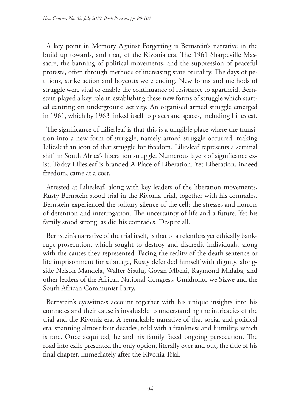A key point in Memory Against Forgetting is Bernstein's narrative in the build up towards, and that, of the Rivonia era. The 1961 Sharpeville Massacre, the banning of political movements, and the suppression of peaceful protests, often through methods of increasing state brutality. The days of petitions, strike action and boycotts were ending. New forms and methods of struggle were vital to enable the continuance of resistance to apartheid. Bernstein played a key role in establishing these new forms of struggle which started centring on underground activity. An organised armed struggle emerged in 1961, which by 1963 linked itself to places and spaces, including Liliesleaf.

The significance of Liliesleaf is that this is a tangible place where the transition into a new form of struggle, namely armed struggle occurred, making Liliesleaf an icon of that struggle for freedom. Liliesleaf represents a seminal shift in South Africa's liberation struggle. Numerous layers of significance exist. Today Liliesleaf is branded A Place of Liberation. Yet Liberation, indeed freedom, came at a cost.

Arrested at Liliesleaf, along with key leaders of the liberation movements, Rusty Bernstein stood trial in the Rivonia Trial, together with his comrades. Bernstein experienced the solitary silence of the cell; the stresses and horrors of detention and interrogation. The uncertainty of life and a future. Yet his family stood strong, as did his comrades. Despite all.

Bernstein's narrative of the trial itself, is that of a relentless yet ethically bankrupt prosecution, which sought to destroy and discredit individuals, along with the causes they represented. Facing the reality of the death sentence or life imprisonment for sabotage, Rusty defended himself with dignity, alongside Nelson Mandela, Walter Sisulu, Govan Mbeki, Raymond Mhlaba, and other leaders of the African National Congress, Umkhonto we Sizwe and the South African Communist Party.

Bernstein's eyewitness account together with his unique insights into his comrades and their cause is invaluable to understanding the intricacies of the trial and the Rivonia era. A remarkable narrative of that social and political era, spanning almost four decades, told with a frankness and humility, which is rare. Once acquitted, he and his family faced ongoing persecution. The road into exile presented the only option, literally over and out, the title of his final chapter, immediately after the Rivonia Trial.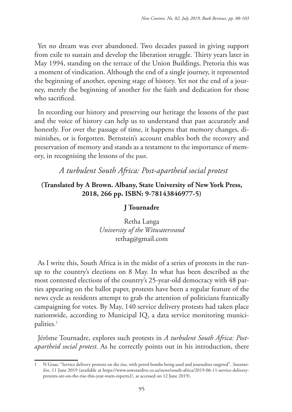Yet no dream was ever abandoned. Two decades passed in giving support from exile to sustain and develop the liberation struggle. Thirty years later in May 1994, standing on the terrace of the Union Buildings, Pretoria this was a moment of vindication. Although the end of a single journey, it represented the beginning of another, opening stage of history. Yet not the end of a journey, merely the beginning of another for the faith and dedication for those who sacrificed.

In recording our history and preserving our heritage the lessons of the past and the voice of history can help us to understand that past accurately and honestly. For over the passage of time, it happens that memory changes, diminishes, or is forgotten. Bernstein's account enables both the recovery and preservation of memory and stands as a testament to the importance of memory, in recognising the lessons of the past.

# *A turbulent South Africa: Post-apartheid social protest*

# **(Translated by A Brown. Albany, State University of New York Press, 2018, 266 pp. ISBN: 9-78143846977-5)**

# **J Tournadre**

Retha Langa *University of the Witwatersrand* rethag@gmail.com

As I write this, South Africa is in the midst of a series of protests in the runup to the country's elections on 8 May. In what has been described as the most contested elections of the country's 25-year-old democracy with 48 parties appearing on the ballot paper, protests have been a regular feature of the news cycle as residents attempt to grab the attention of politicians frantically campaigning for votes. By May, 140 service delivery protests had taken place nationwide, according to Municipal IQ, a data service monitoring municipalities. 1

Jérôme Tournadre, explores such protests in *A turbulent South Africa: Postapartheid social protest.* As he correctly points out in his introduction, there

<sup>1</sup> N Gous, "Service delivery protests on the rise, with petrol bombs being used and journalists targeted", *Sowetanlive*, 11 June 2019 (available at https://www.sowetanlive.co.za/news/south-africa/2019-06-11-service-deliveryprotests-are-on-the-rise-this-year-warn-experts2/, as accessed on 12 June 2019).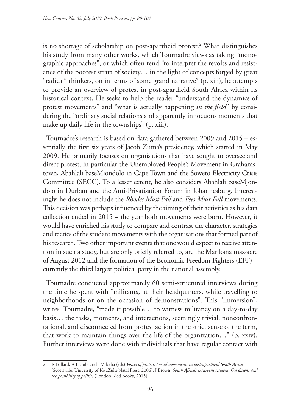is no shortage of scholarship on post-apartheid protest.2 What distinguishes his study from many other works, which Tournadre views as taking "monographic approaches", or which often tend "to interpret the revolts and resistance of the poorest strata of society… in the light of concepts forged by great "radical" thinkers, on in terms of some grand narrative" (p. xiii), he attempts to provide an overview of protest in post-apartheid South Africa within its historical context. He seeks to help the reader "understand the dynamics of protest movements" and "what is actually happening *in the field*" by considering the "ordinary social relations and apparently innocuous moments that make up daily life in the townships" (p. xiii).

Tournadre's research is based on data gathered between 2009 and 2015 – essentially the first six years of Jacob Zuma's presidency, which started in May 2009. He primarily focuses on organisations that have sought to oversee and direct protest, in particular the Unemployed People's Movement in Grahamstown, Abahlali baseMjondolo in Cape Town and the Soweto Electricity Crisis Committee (SECC). To a lesser extent, he also considers Abahlali baseMjondolo in Durban and the Anti-Privatisation Forum in Johannesburg. Interestingly, he does not include the *Rhodes Must Fall* and *Fees Must Fall* movements. This decision was perhaps influenced by the timing of their activities as his data collection ended in 2015 – the year both movements were born. However, it would have enriched his study to compare and contrast the character, strategies and tactics of the student movements with the organisations that formed part of his research. Two other important events that one would expect to receive attention in such a study, but are only briefly referred to, are the Marikana massacre of August 2012 and the formation of the Economic Freedom Fighters (EFF) – currently the third largest political party in the national assembly.

Tournadre conducted approximately 60 semi-structured interviews during the time he spent with "militants, at their headquarters, while travelling to neighborhoods or on the occasion of demonstrations". This "immersion", writes Tournadre, "made it possible… to witness militancy on a day-to-day basis… the tasks, moments, and interactions, seemingly trivial, nonconfrontational, and disconnected from protest action in the strict sense of the term, that work to maintain things over the life of the organization…" (p. xxiv). Further interviews were done with individuals that have regular contact with

<sup>2</sup> R Ballard, A Habib, and I Valodia (eds) *Voices of protest: Social movements in post-apartheid South Africa* (Scottsville, University of KwaZulu-Natal Press, 2006); J Brown, *South Africa's insurgent citizens: On dissent and the possibility of politics* (London, Zed Books, 2015).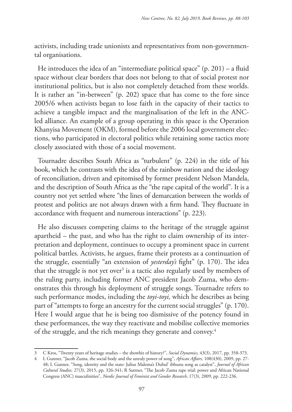activists, including trade unionists and representatives from non-governmental organisations.

He introduces the idea of an "intermediate political space"  $(p. 201)$  – a fluid space without clear borders that does not belong to that of social protest nor institutional politics, but is also not completely detached from these worlds. It is rather an "in-between" (p. 202) space that has come to the fore since 2005/6 when activists began to lose faith in the capacity of their tactics to achieve a tangible impact and the marginalisation of the left in the ANCled alliance. An example of a group operating in this space is the Operation Khanyisa Movement (OKM), formed before the 2006 local government elections, who participated in electoral politics while retaining some tactics more closely associated with those of a social movement.

Tournadre describes South Africa as "turbulent" (p. 224) in the title of his book, which he contrasts with the idea of the rainbow nation and the ideology of reconciliation, driven and epitomised by former president Nelson Mandela, and the description of South Africa as the "the rape capital of the world". It is a country not yet settled where "the lines of demarcation between the worlds of protest and politics are not always drawn with a firm hand. They fluctuate in accordance with frequent and numerous interactions" (p. 223).

He also discusses competing claims to the heritage of the struggle against apartheid – the past, and who has the right to claim ownership of its interpretation and deployment, continues to occupy a prominent space in current political battles. Activists, he argues, frame their protests as a continuation of the struggle, essentially "an extension of *yesterday's* fight" (p. 170). The idea that the struggle is not yet over<sup>3</sup> is a tactic also regularly used by members of the ruling party, including former ANC president Jacob Zuma, who demonstrates this through his deployment of struggle songs. Tournadre refers to such performance modes, including the *toyi-toyi,* which he describes as being part of "attempts to forge an ancestry for the current social struggles" (p. 170). Here I would argue that he is being too dismissive of the potency found in these performances, the way they reactivate and mobilise collective memories of the struggle, and the rich meanings they generate and convey.<sup>4</sup>

<sup>3</sup> C Kros, "Twenty years of heritage studies – the showbiz of history?", *Social Dynamics*, 43(3), 2017, pp. 358-373.

<sup>4</sup> L Gunner, "Jacob Zuma, the social body and the unruly power of song", *African Affairs,* 108(430), 2009, pp. 27- 48; L Gunner, "Song, identity and the state: Julius Malema's Dubul' ibhunu song as catalyst", *Journal of African Cultural Studies,* 27(3), 2015, pp. 326-341; R Suttner, "The Jacob Zuma rape trial: power and African National Congress (ANC) masculinities", *Nordic Journal of Feminist and Gender Research,* 17(3), 2009, pp. 222-236.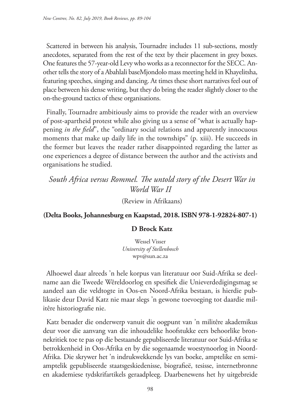Scattered in between his analysis, Tournadre includes 11 sub-sections, mostly anecdotes, separated from the rest of the text by their placement in grey boxes. One features the 57-year-old Levy who works as a reconnector for the SECC. Another tells the story of a Abahlali baseMjondolo mass meeting held in Khayelitsha, featuring speeches, singing and dancing. At times these short narratives feel out of place between his dense writing, but they do bring the reader slightly closer to the on-the-ground tactics of these organisations.

Finally, Tournadre ambitiously aims to provide the reader with an overview of post-apartheid protest while also giving us a sense of "what is actually happening *in the field*", the "ordinary social relations and apparently innocuous moments that make up daily life in the townships" (p. xiii). He succeeds in the former but leaves the reader rather disappointed regarding the latter as one experiences a degree of distance between the author and the activists and organisations he studied.

# *South Africa versus Rommel. The untold story of the Desert War in World War II*

(Review in Afrikaans)

## **(Delta Books, Johannesburg en Kaapstad, 2018. ISBN 978-1-92824-807-1)**

## **D Brock Katz**

Wessel Visser *University of Stellenbosch* wpv@sun.ac.za

Alhoewel daar alreeds 'n hele korpus van literatuur oor Suid-Afrika se deelname aan die Tweede Wêreldoorlog en spesifiek die Unieverdedigingsmag se aandeel aan die veldtogte in Oos-en Noord-Afrika bestaan, is hierdie publikasie deur David Katz nie maar slegs 'n gewone toevoeging tot daardie militêre historiografie nie.

Katz benader die onderwerp vanuit die oogpunt van 'n militêre akademikus deur voor die aanvang van die inhoudelike hoofstukke eers behoorlike bronnekritiek toe te pas op die bestaande gepubliseerde literatuur oor Suid-Afrika se betrokkenheid in Oos-Afrika en by die sogenaamde woestynoorlog in Noord-Afrika. Die skrywer het 'n indrukwekkende lys van boeke, amptelike en semiamptelik gepubliseerde staatsgeskiedenisse, biografieë, tesisse, internetbronne en akademiese tydskrifartikels geraadpleeg. Daarbenewens het hy uitgebreide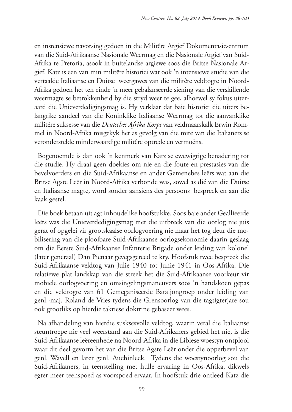en instensiewe navorsing gedoen in die Militêre Argief Dokumentasiesentrum van die Suid-Afrikaanse Nasionale Weermag en die Nasionale Argief van Suid-Afrika te Pretoria, asook in buitelandse argiewe soos die Britse Nasionale Argief. Katz is een van min militêre historici wat ook 'n intensiewe studie van die vertaalde Italiaanse en Duitse weergawes van die militêre veldtogte in Noord-Afrika gedoen het ten einde 'n meer gebalanseerde siening van die verskillende weermagte se betrokkenheid by die stryd weer te gee, alhoewel sy fokus uiteraard die Unieverdedigingsmag is. Hy verklaar dat baie historici die uiters belangrike aandeel van die Koninklike Italiaanse Weermag tot die aanvanklike militêre suksesse van die *Deutsches Afrika Korps* van veldmaarskalk Erwin Rommel in Noord-Afrika misgekyk het as gevolg van die mite van die Italianers se veronderstelde minderwaardige militêre optrede en vermoëns.

Bogenoemde is dan ook 'n kenmerk van Katz se ewewigtige benadering tot die studie. Hy draai geen doekies om nie en die foute en prestasies van die bevelvoerders en die Suid-Afrikaanse en ander Gemenebes leërs wat aan die Britse Agste Leër in Noord-Afrika verbonde was, sowel as dié van die Duitse en Italiaanse magte, word sonder aansiens des persoons bespreek en aan die kaak gestel.

Die boek betaan uit agt inhoudelike hoofstukke. Soos baie ander Geallieerde leërs was die Unieverdedigingsmag met die uitbreek van die oorlog nie juis gerat of opgelei vir grootskaalse oorlogvoering nie maar het tog deur die mobilisering van die plooibare Suid-Afrikaanse oorlogsekonomie daarin geslaag om die Eerste Suid-Afrikaanse Infanterie Brigade onder leiding van kolonel (later generaal) Dan Pienaar gevegsgereed te kry. Hoofstuk twee bespreek die Suid-Afrikaanse veldtog van Julie 1940 tot Junie 1941 in Oos-Afrika. Die relatiewe plat landskap van die streek het die Suid-Afrikaanse voorkeur vir mobiele oorlogvoering en omsingelingsmaneuvers soos 'n handskoen gepas en die veldtogte van 61 Gemeganiseerde Bataljongroep onder leiding van genl.-maj. Roland de Vries tydens die Grensoorlog van die tagtigterjare sou ook grootliks op hierdie taktiese doktrine gebaseer wees.

Na afhandeling van hierdie susksesvolle veldtog, waarin veral die Italiaanse steuntroepe nie veel weerstand aan die Suid-Afrikaners gebied het nie, is die Suid-Afrikaanse leëreenhede na Noord-Afrika in die Libiese woestyn ontplooi waar dit deel gevorm het van die Britse Agste Leër onder die opperbevel van genl. Wavell en later genl. Auchinleck. Tydens die woestynoorlog sou die Suid-Afrikaners, in teenstelling met hulle ervaring in Oos-Afrika, dikwels egter meer teenspoed as voorspoed ervaar. In hoofstuk drie ontleed Katz die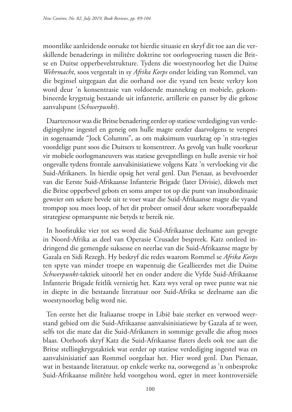moontlike aanleidende oorsake tot hierdie situasie en skryf dit toe aan die verskillende benaderings in militêre doktrine tot oorlogvoering tussen die Britse en Duitse opperbevelstrukture. Tydens die woestynoorlog het die Duitse *Wehrmacht*, soos vergestalt in sy *Afrika Korps* onder leiding van Rommel, van die beginsel uitgegaan dat die oorhand oor die vyand ten beste verkry kon word deur 'n konsentrasie van voldoende mannekrag en mobiele, gekombineerde krygstuig bestaande uit infanterie, artillerie en panser by die gekose aanvalspunt (*Schwerpunkt*).

Daarteenoor was die Britse benadering eerder op statiese verdediging van verdedigingslyne ingestel en geneig om hulle magte eerder daarvolgens te versprei in sogenaamde "Jock Columns", as om maksimum vuurkrag op 'n stra-tegies voordelige punt soos die Duitsers te konsentreer. As gevolg van hulle voorkeur vir mobiele oorlogmaneuvers was statiese gevegstellings en hulle aversie vir hoë ongevalle tydens frontale aanvalsinisiatiewe volgens Katz 'n vervloeking vir die Suid-Afrikaners. In hierdie opsig het veral genl. Dan Pienaar, as bevelvoerder van die Eerste Suid-Afrikaanse Infanterie Brigade (later Divisie), dikwels met die Britse opperbevel gebots en soms amper tot op die punt van insubordinasie geweier om sekere bevele uit te voer waar die Suid-Afrikaanse magte die vyand trompop sou moes loop, of het dit probeer omseil deur sekere voorafbepaalde strategiese opmarspunte nie betyds te bereik nie.

In hoofstukke vier tot ses word die Suid-Afrikaanse deelname aan gevegte in Noord-Afrika as deel van Operasie Crusader bespreek. Katz ontleed indringend die gemengde suksesse en neerlae van die Suid-Afrikaanse magte by Gazala en Sidi Rezegh. Hy beskryf die redes waarom Rommel se *Afrika Korps*  ten spyte van minder troepe en wapentuig die Geallieerdes met die Duitse *Schwerpunkt*-taktiek uitoorlê het en onder andere die Vyfde Suid-Afrikaanse Infanterie Brigade feitlik vernietig het. Katz wys veral op twee punte wat nie in diepte in die bestaande literatuur oor Suid-Afrika se deelname aan die woestynoorlog belig word nie.

Ten eerste het die Italiaanse troepe in Libië baie sterker en verwoed weerstand gebied om die Suid-Afrikaanse aanvalsinisiatiewe by Gazala af te weer, selfs tot die mate dat die Suid-Afrikaners in sommige gevalle die aftog moes blaas. Oorhoofs skryf Katz die Suid-Afrikaanse flaters deels ook toe aan die Britse stellingkrygstaktiek wat eerder op statiese verdediging ingestel was en aanvalsinisiatief aan Rommel oorgelaat het. Hier word genl. Dan Pienaar, wat in bestaande literatuur, op enkele werke na, oorwegend as 'n onbesproke Suid-Afrikaanse militêre held voorgehou word, egter in meer kontroversiële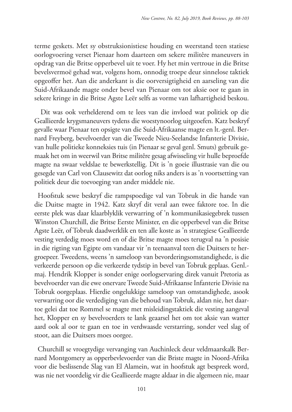terme geskets. Met sy obstruksionistiese houding en weerstand teen statiese oorlogvoering verset Pienaar hom daarteen om sekere militêre maneuvers in opdrag van die Britse opperbevel uit te voer. Hy het min vertroue in die Britse bevelsvermoë gehad wat, volgens hom, onnodig troepe deur sinnelose taktiek opgeoffer het. Aan die anderkant is die oorversigtigheid en aarseling van die Suid-Afrikaande magte onder bevel van Pienaar om tot aksie oor te gaan in sekere kringe in die Britse Agste Leër selfs as vorme van lafhartigheid beskou.

 Dit was ook verhelderend om te lees van die invloed wat politiek op die Geallieerde krygsmaneuvers tydens die woestynoorlog uitgeoefen. Katz beskryf gevalle waar Pienaar ten opsigte van die Suid-Afrikaanse magte en lt.-genl. Bernard Freyberg, bevelvoerder van die Tweede Nieu-Seelandse Infanterie Divisie, van hulle politieke konneksies tuis (in Pienaar se geval genl. Smuts) gebruik gemaak het om in weerwil van Britse militêre gesag afwisseling vir hulle beproefde magte na swaar veldslae te bewerkstellig. Dit is 'n goeie illustrasie van die ou gesegde van Carl von Clausewitz dat oorlog niks anders is as 'n voortsetting van politiek deur die toevoeging van ander middele nie.

Hoofstuk sewe beskryf die rampspoedige val van Tobruk in die hande van die Duitse magte in 1942. Katz skryf dit veral aan twee faktore toe. In die eerste plek was daar klaarblyklik verwarring of 'n kommunikasiegebrek tussen Winston Churchill, die Britse Eerste Minister, en die opperbevel van die Britse Agste Leër, of Tobruk daadwerklik en ten alle koste as 'n strategiese Geallieerde vesting verdedig moes word en of die Britse magte moes terugval na 'n posisie in die rigting van Egipte om vandaar vir 'n teenaanval teen die Duitsers te hergroepeer. Tweedens, weens 'n sameloop van bevorderingsomstandighede, is die verkeerde persoon op die verkeerde tydstip in bevel van Tobruk geplaas. Genl. maj. Hendrik Klopper is sonder enige oorlogservaring direk vanuit Pretoria as bevelvoerder van die ewe onervare Tweede Suid-Afrikaanse Infanterie Divisie na Tobruk oorgeplaas. Hierdie ongelukkige sameloop van omstandighede, asook verwarring oor die verdediging van die behoud van Tobruk, aldan nie, het daartoe gelei dat toe Rommel se magte met misleidingstaktiek die vesting aangeval het, Klopper en sy bevelvoerders te lank geaarsel het om tot aksie van watter aard ook al oor te gaan en toe in verdwaasde verstarring, sonder veel slag of stoot, aan die Duitsers moes oorgee.

Churchill se vroegtydige vervanging van Auchinleck deur veldmaarskalk Bernard Montgomery as opperbevlevoerder van die Briste magte in Noord-Afrika voor die beslissende Slag van El Alamein, wat in hoofstuk agt bespreek word, was nie net voordelig vir die Geallieerde magte aldaar in die algemeen nie, maar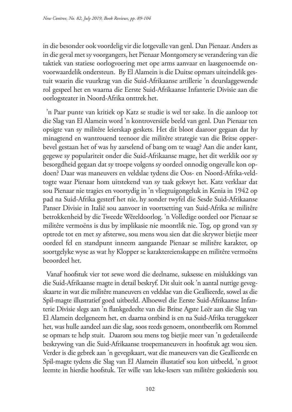in die besonder ook voordelig vir die lotgevalle van genl. Dan Pienaar. Anders as in die geval met sy voorgangers, het Pienaar Montgomery se verandering van die taktiek van statiese oorlogvoering met ope arms aanvaar en laasgenoemde onvoorwaardelik ondersteun. By El Alamein is die Duitse opmars uiteindelik gestuit waarin die vuurkrag van die Suid-Afrikaanse artillerie 'n deurslaggewende rol gespeel het en waarna die Eerste Suid-Afrikaanse Infanterie Divisie aan die oorlogsteater in Noord-Afrika onttrek het.

'n Paar punte van kritiek op Katz se studie is wel ter sake. In die aanloop tot die Slag van El Alamein word 'n kontroversiële beeld van genl. Dan Pienaar ten opsigte van sy militêre leierskap geskets. Het dit bloot daaroor gegaan dat hy minagtend en wantrouend teenoor die militêre strategie van die Britse opperbevel gestaan het of was hy aarselend of bang om te waag? Aan die ander kant, gegewe sy populariteit onder die Suid-Afrikaanse magte, het dit werklik oor sy besorgdheid gegaan dat sy troepe volgens sy oordeel onnodig ongevalle kon opdoen? Daar was maneuvers en veldslae tydens die Oos- en Noord-Afrika-veldtogte waar Pienaar hom uitstekend van sy taak gekwyt het. Katz verklaar dat sou Pienaar nie tragies en voortydig in 'n vliegtuigongeluk in Kenia in 1942 op pad na Suid-Afrika gesterf het nie, hy sonder twyfel die Sesde Suid-Afrikaanse Panser Divisie in Italië sou aanvoer in voortsetting van Suid-Afrika se militêre betrokkenheid by die Tweede Wêreldoorlog. 'n Volledige oordeel oor Pienaar se militêre vermoëns is dus by implikasie nie moontlik nie. Tog, op grond van sy optrede tot en met sy afsterwe, sou mens wou sien dat die skrywer bietjie meer oordeel fel en standpunt inneem aangaande Pienaar se militêre karakter, op soortgelyke wyse as wat hy Klopper se karaktereienskappe en militêre vermoëns beoordeel het.

Vanaf hoofstuk vier tot sewe word die deelname, suksesse en mislukkings van die Suid-Afrikaanse magte in detail beskryf. Dit sluit ook 'n aantal nuttige gevegskaarte in wat die militêre maneuvers en veldslae van die Geallieerde, sowel as die Spil-magte illustratief goed uitbeeld. Alhoewel die Eerste Suid-Afrikaanse Infanterie Divisie slegs aan 'n flankgedeelte van die Britse Agste Leër aan die Slag van El Alamein deelgeneem het, en daarna ontbind is en na Suid-Afrika teruggekeer het, was hulle aandeel aan die slag, soos reeds genoem, onontbeerlik om Rommel se opmars te help stuit. Daarom sou mens tog bietjie meer van 'n gedetaileerde beskrywing van die Suid-Afrikaanse troepemaneuvers in hoofstuk agt wou sien. Verder is die gebrek aan 'n gevegskaart, wat die maneuvers van die Geallieerde en Spil-magte tydens die Slag van El Alamein illustatief sou kon uitbeeld, 'n groot leemte in hierdie hoofstuk. Ter wille van leke-lesers van militêre geskiedenis sou